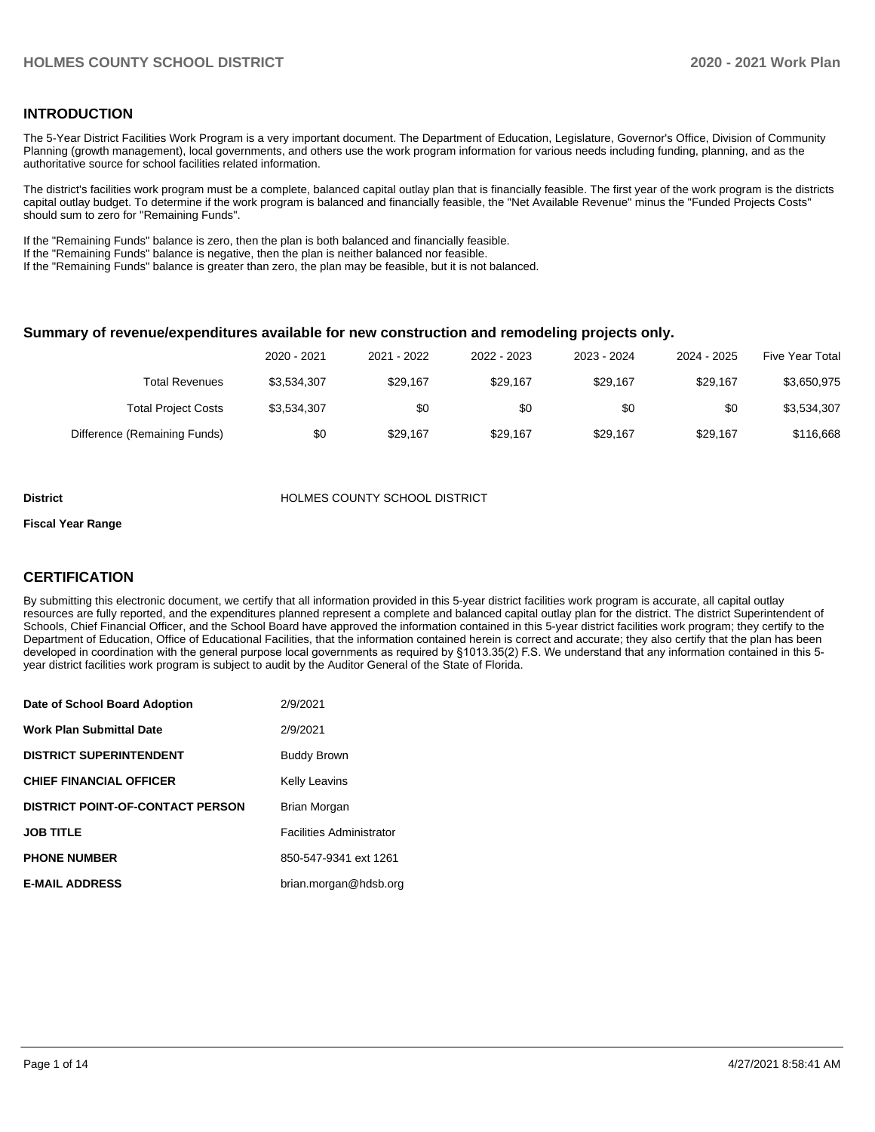#### **INTRODUCTION**

The 5-Year District Facilities Work Program is a very important document. The Department of Education, Legislature, Governor's Office, Division of Community Planning (growth management), local governments, and others use the work program information for various needs including funding, planning, and as the authoritative source for school facilities related information.

The district's facilities work program must be a complete, balanced capital outlay plan that is financially feasible. The first year of the work program is the districts capital outlay budget. To determine if the work program is balanced and financially feasible, the "Net Available Revenue" minus the "Funded Projects Costs" should sum to zero for "Remaining Funds".

If the "Remaining Funds" balance is zero, then the plan is both balanced and financially feasible.

If the "Remaining Funds" balance is negative, then the plan is neither balanced nor feasible.

If the "Remaining Funds" balance is greater than zero, the plan may be feasible, but it is not balanced.

#### **Summary of revenue/expenditures available for new construction and remodeling projects only.**

| Five Year Total | 2024 - 2025 | 2023 - 2024 | 2022 - 2023 | 2021 - 2022 | 2020 - 2021 |                              |
|-----------------|-------------|-------------|-------------|-------------|-------------|------------------------------|
| \$3,650,975     | \$29.167    | \$29.167    | \$29.167    | \$29.167    | \$3,534,307 | Total Revenues               |
| \$3,534,307     | \$0         | \$0         | \$0         | \$0         | \$3,534,307 | <b>Total Project Costs</b>   |
| \$116,668       | \$29.167    | \$29.167    | \$29.167    | \$29.167    | \$0         | Difference (Remaining Funds) |

#### **District COUNTY SCHOOL DISTRICT**

#### **Fiscal Year Range**

#### **CERTIFICATION**

By submitting this electronic document, we certify that all information provided in this 5-year district facilities work program is accurate, all capital outlay resources are fully reported, and the expenditures planned represent a complete and balanced capital outlay plan for the district. The district Superintendent of Schools, Chief Financial Officer, and the School Board have approved the information contained in this 5-year district facilities work program; they certify to the Department of Education, Office of Educational Facilities, that the information contained herein is correct and accurate; they also certify that the plan has been developed in coordination with the general purpose local governments as required by §1013.35(2) F.S. We understand that any information contained in this 5 year district facilities work program is subject to audit by the Auditor General of the State of Florida.

| Date of School Board Adoption           | 2/9/2021                        |
|-----------------------------------------|---------------------------------|
| <b>Work Plan Submittal Date</b>         | 2/9/2021                        |
| <b>DISTRICT SUPERINTENDENT</b>          | <b>Buddy Brown</b>              |
| <b>CHIEF FINANCIAL OFFICER</b>          | <b>Kelly Leavins</b>            |
| <b>DISTRICT POINT-OF-CONTACT PERSON</b> | Brian Morgan                    |
| <b>JOB TITLE</b>                        | <b>Facilities Administrator</b> |
| <b>PHONE NUMBER</b>                     | 850-547-9341 ext 1261           |
| <b>E-MAIL ADDRESS</b>                   | brian.morgan@hdsb.org           |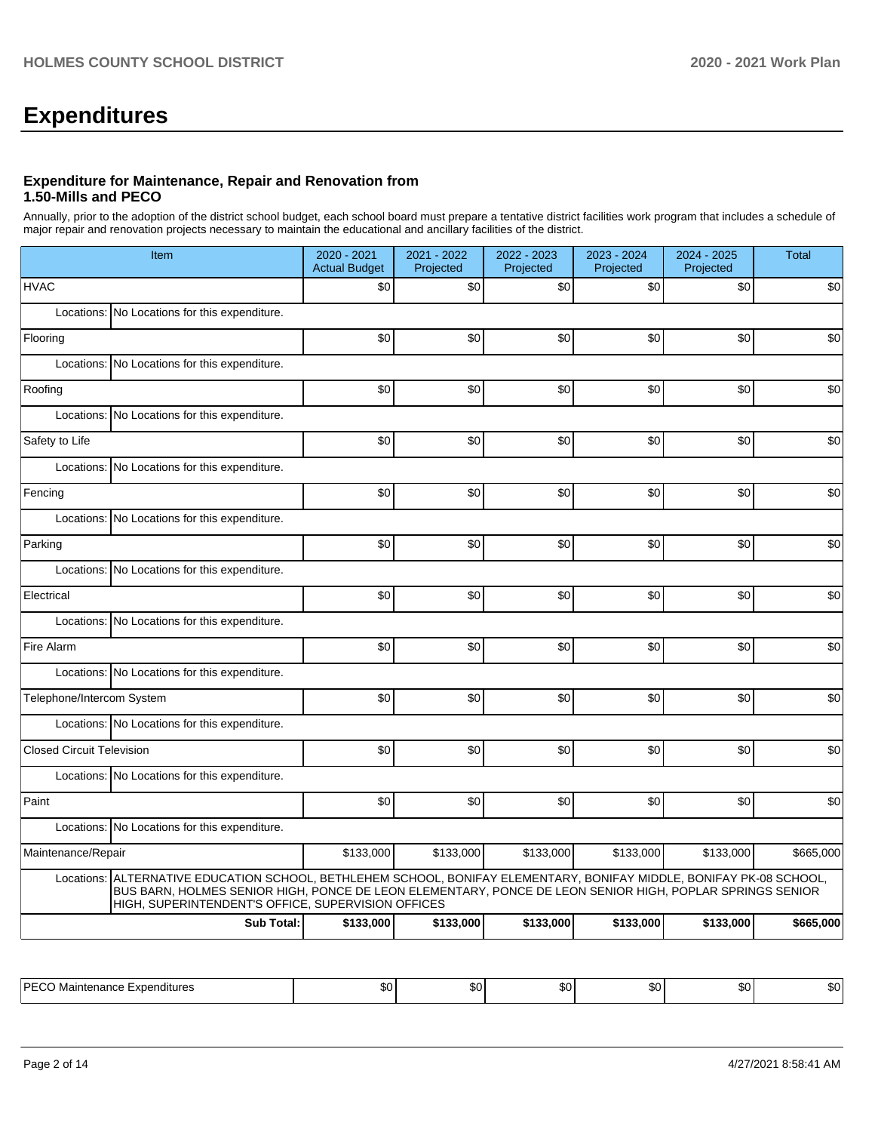# **Expenditures**

#### **Expenditure for Maintenance, Repair and Renovation from 1.50-Mills and PECO**

Annually, prior to the adoption of the district school budget, each school board must prepare a tentative district facilities work program that includes a schedule of major repair and renovation projects necessary to maintain the educational and ancillary facilities of the district.

| Item                                                                                                                                                                                                                                                                                      | 2020 - 2021<br><b>Actual Budget</b> | 2021 - 2022<br>Projected | 2022 - 2023<br>Projected | 2023 - 2024<br>Projected | 2024 - 2025<br>Projected | <b>Total</b> |  |  |
|-------------------------------------------------------------------------------------------------------------------------------------------------------------------------------------------------------------------------------------------------------------------------------------------|-------------------------------------|--------------------------|--------------------------|--------------------------|--------------------------|--------------|--|--|
| <b>HVAC</b>                                                                                                                                                                                                                                                                               | \$0                                 | \$0                      | \$0                      | \$0                      | \$0                      | \$0          |  |  |
| No Locations for this expenditure.<br>Locations:                                                                                                                                                                                                                                          |                                     |                          |                          |                          |                          |              |  |  |
| Flooring                                                                                                                                                                                                                                                                                  | \$0                                 | \$0                      | \$0                      | \$0                      | \$0                      | \$0          |  |  |
| Locations:<br>No Locations for this expenditure.                                                                                                                                                                                                                                          |                                     |                          |                          |                          |                          |              |  |  |
| Roofing                                                                                                                                                                                                                                                                                   | \$0                                 | \$0                      | \$0                      | \$0                      | \$0                      | \$0          |  |  |
| Locations: No Locations for this expenditure.                                                                                                                                                                                                                                             |                                     |                          |                          |                          |                          |              |  |  |
| Safety to Life                                                                                                                                                                                                                                                                            | \$0                                 | \$0                      | \$0                      | \$0                      | \$0                      | \$0          |  |  |
| Locations:<br>No Locations for this expenditure.                                                                                                                                                                                                                                          |                                     |                          |                          |                          |                          |              |  |  |
| Fencing                                                                                                                                                                                                                                                                                   | \$0                                 | \$0                      | \$0                      | \$0                      | \$0                      | \$0          |  |  |
| Locations: No Locations for this expenditure.                                                                                                                                                                                                                                             |                                     |                          |                          |                          |                          |              |  |  |
| Parking                                                                                                                                                                                                                                                                                   | \$0                                 | \$0                      | \$0                      | \$0                      | \$0                      | \$0          |  |  |
| Locations:<br>No Locations for this expenditure.                                                                                                                                                                                                                                          |                                     |                          |                          |                          |                          |              |  |  |
| Electrical                                                                                                                                                                                                                                                                                | \$0                                 | \$0                      | \$0                      | \$0                      | \$0                      | \$0          |  |  |
| Locations: No Locations for this expenditure.                                                                                                                                                                                                                                             |                                     |                          |                          |                          |                          |              |  |  |
| Fire Alarm                                                                                                                                                                                                                                                                                | \$0                                 | \$0                      | \$0                      | \$0                      | \$0                      | \$0          |  |  |
| Locations: No Locations for this expenditure.                                                                                                                                                                                                                                             |                                     |                          |                          |                          |                          |              |  |  |
| Telephone/Intercom System                                                                                                                                                                                                                                                                 | \$0                                 | \$0                      | \$0                      | \$0                      | \$0                      | \$0          |  |  |
| Locations: No Locations for this expenditure.                                                                                                                                                                                                                                             |                                     |                          |                          |                          |                          |              |  |  |
| <b>Closed Circuit Television</b>                                                                                                                                                                                                                                                          | \$0                                 | \$0                      | \$0                      | \$0                      | \$0                      | \$0          |  |  |
| Locations: No Locations for this expenditure.                                                                                                                                                                                                                                             |                                     |                          |                          |                          |                          |              |  |  |
| Paint                                                                                                                                                                                                                                                                                     | \$0                                 | \$0                      | \$0                      | \$0                      | \$0                      | \$0          |  |  |
| Locations:<br>No Locations for this expenditure.                                                                                                                                                                                                                                          |                                     |                          |                          |                          |                          |              |  |  |
| Maintenance/Repair                                                                                                                                                                                                                                                                        | \$133,000                           | \$133,000                | \$133,000                | \$133,000                | \$133,000                | \$665,000    |  |  |
| ALTERNATIVE EDUCATION SCHOOL, BETHLEHEM SCHOOL, BONIFAY ELEMENTARY, BONIFAY MIDDLE, BONIFAY PK-08 SCHOOL,<br>Locations:<br>BUS BARN, HOLMES SENIOR HIGH, PONCE DE LEON ELEMENTARY, PONCE DE LEON SENIOR HIGH, POPLAR SPRINGS SENIOR<br>HIGH, SUPERINTENDENT'S OFFICE, SUPERVISION OFFICES |                                     |                          |                          |                          |                          |              |  |  |
| <b>Sub Total:</b>                                                                                                                                                                                                                                                                         | \$133,000                           | \$133,000                | \$133,000                | \$133,000                | \$133,000                | \$665,000    |  |  |

| <b>IPFC</b><br>Expenditures<br>Maintenance | $\sim$<br> | m.<br>æυ | m c<br>. | $\sim$<br>പാധ | m / | т. А<br>æи |
|--------------------------------------------|------------|----------|----------|---------------|-----|------------|
|                                            |            |          |          |               |     |            |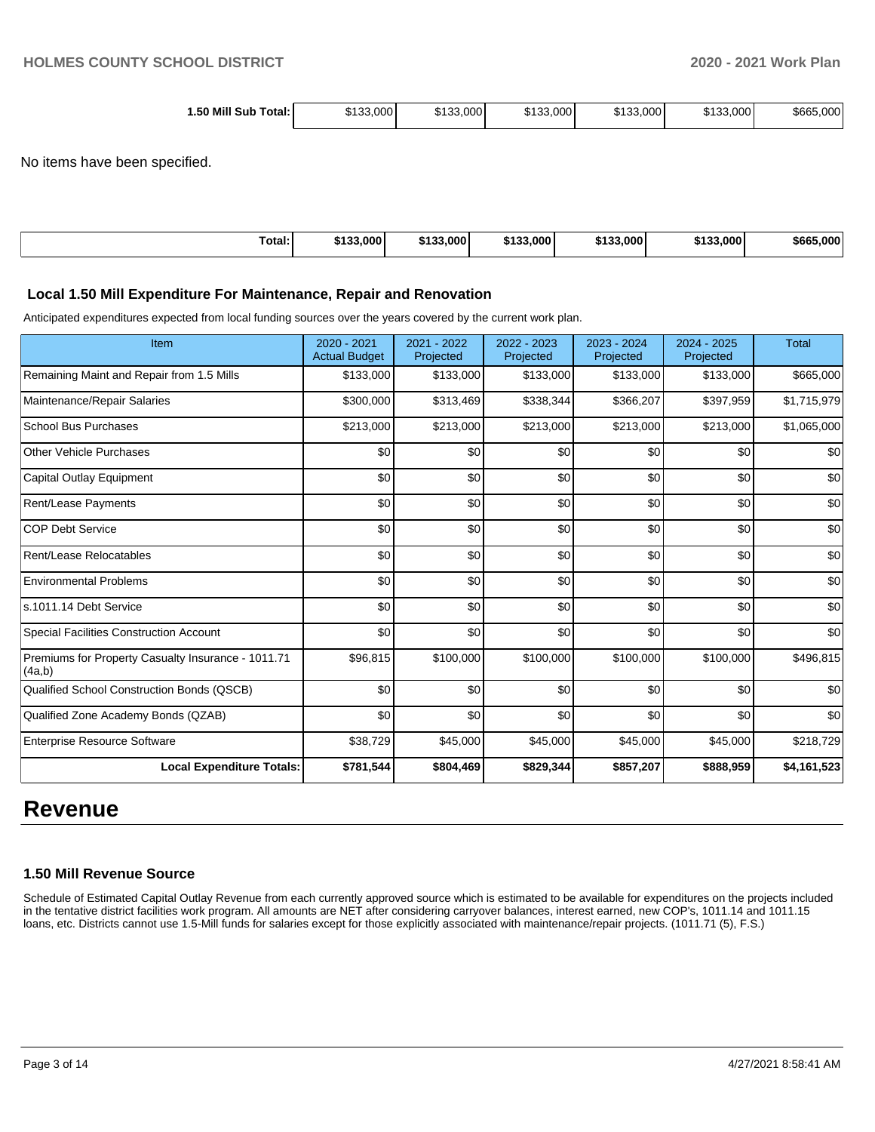| 1.50 Mill Sub<br>Total: | \$133.000 | \$133,000 | \$133,000 | \$133,000 | \$133,000 | \$665,000 |
|-------------------------|-----------|-----------|-----------|-----------|-----------|-----------|
|                         |           |           |           |           |           |           |

No items have been specified.

| Total:<br>. | \$133,000 | \$133,000<br>6499 | \$133,000 | \$133,000 | \$133,000 | \$665,000 |
|-------------|-----------|-------------------|-----------|-----------|-----------|-----------|
|             |           |                   |           |           |           |           |

#### **Local 1.50 Mill Expenditure For Maintenance, Repair and Renovation**

Anticipated expenditures expected from local funding sources over the years covered by the current work plan.

| Item                                                         | 2020 - 2021<br><b>Actual Budget</b> | 2021 - 2022<br>Projected | 2022 - 2023<br>Projected | 2023 - 2024<br>Projected | $2024 - 2025$<br>Projected | <b>Total</b> |
|--------------------------------------------------------------|-------------------------------------|--------------------------|--------------------------|--------------------------|----------------------------|--------------|
| Remaining Maint and Repair from 1.5 Mills                    | \$133,000                           | \$133,000                | \$133,000                | \$133,000                | \$133,000                  | \$665,000    |
| Maintenance/Repair Salaries                                  | \$300,000                           | \$313,469                | \$338,344                | \$366,207                | \$397,959                  | \$1,715,979  |
| <b>School Bus Purchases</b>                                  | \$213,000                           | \$213,000                | \$213,000                | \$213,000                | \$213,000                  | \$1,065,000  |
| <b>Other Vehicle Purchases</b>                               | \$0                                 | \$0                      | \$0                      | \$0                      | \$0                        | \$0          |
| Capital Outlay Equipment                                     | \$0                                 | \$0                      | \$0                      | \$0                      | \$0                        | \$0          |
| Rent/Lease Payments                                          | \$0                                 | \$0                      | \$0                      | \$0                      | \$0                        | \$0          |
| <b>COP Debt Service</b>                                      | \$0                                 | \$0                      | \$0                      | \$0                      | \$0                        | \$0          |
| Rent/Lease Relocatables                                      | \$0                                 | \$0                      | \$0                      | \$0                      | \$0                        | \$0          |
| <b>Environmental Problems</b>                                | \$0                                 | \$0                      | \$0                      | \$0                      | \$0                        | \$0          |
| s.1011.14 Debt Service                                       | \$0                                 | \$0                      | \$0                      | \$0                      | \$0                        | \$0          |
| Special Facilities Construction Account                      | \$0                                 | \$0                      | \$0                      | \$0                      | \$0                        | \$0          |
| Premiums for Property Casualty Insurance - 1011.71<br>(4a,b) | \$96,815                            | \$100,000                | \$100,000                | \$100,000                | \$100,000                  | \$496,815    |
| Qualified School Construction Bonds (QSCB)                   | \$0                                 | \$0                      | \$0                      | \$0                      | \$0                        | \$0          |
| Qualified Zone Academy Bonds (QZAB)                          | \$0                                 | \$0                      | \$0                      | \$0                      | \$0                        | \$0          |
| <b>Enterprise Resource Software</b>                          | \$38,729                            | \$45,000                 | \$45,000                 | \$45,000                 | \$45,000                   | \$218,729    |
| <b>Local Expenditure Totals:</b>                             | \$781,544                           | \$804,469                | \$829,344                | \$857,207                | \$888,959                  | \$4,161,523  |

## **Revenue**

#### **1.50 Mill Revenue Source**

Schedule of Estimated Capital Outlay Revenue from each currently approved source which is estimated to be available for expenditures on the projects included in the tentative district facilities work program. All amounts are NET after considering carryover balances, interest earned, new COP's, 1011.14 and 1011.15 loans, etc. Districts cannot use 1.5-Mill funds for salaries except for those explicitly associated with maintenance/repair projects. (1011.71 (5), F.S.)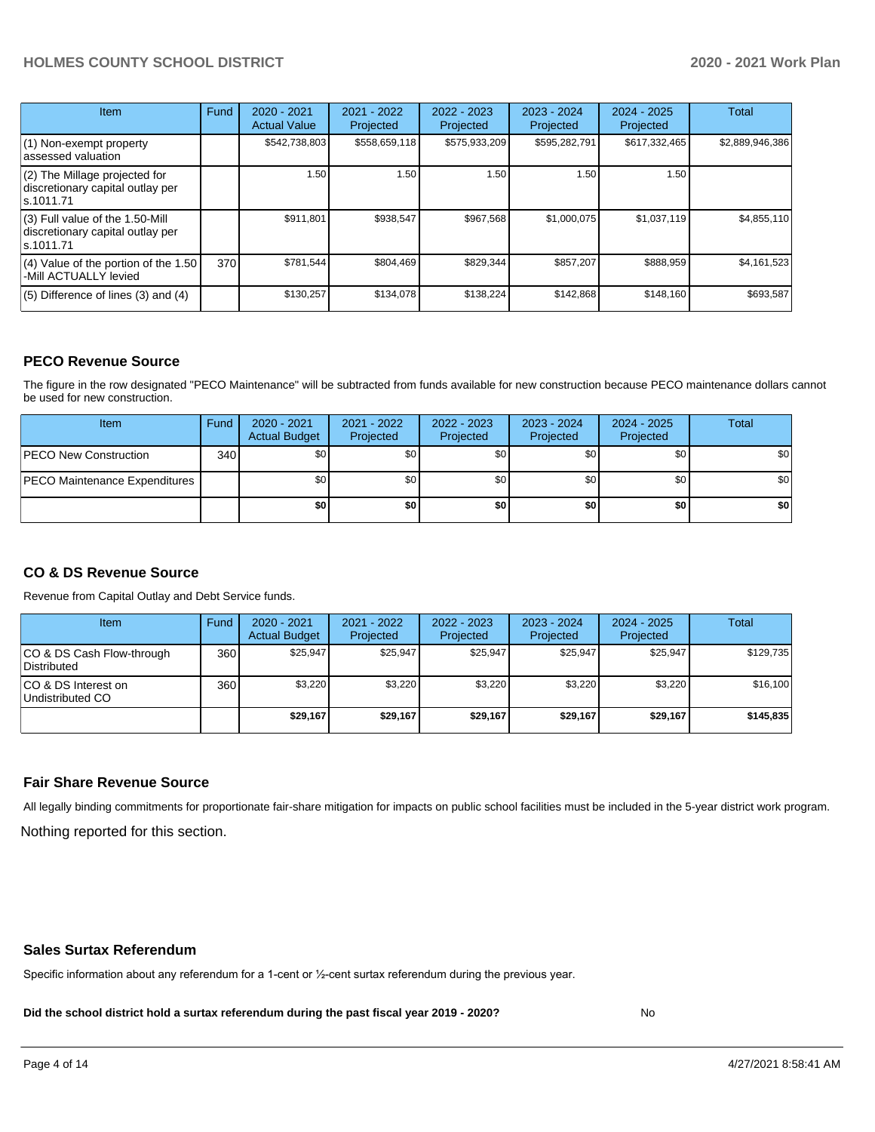#### **HOLMES COUNTY SCHOOL DISTRICT 2020 - 2021 Work Plan**

| Item                                                                                | Fund | $2020 - 2021$<br><b>Actual Value</b> | 2021 - 2022<br>Projected | 2022 - 2023<br>Projected | 2023 - 2024<br>Projected | $2024 - 2025$<br>Projected | <b>Total</b>    |
|-------------------------------------------------------------------------------------|------|--------------------------------------|--------------------------|--------------------------|--------------------------|----------------------------|-----------------|
| $(1)$ Non-exempt property<br>lassessed valuation                                    |      | \$542,738,803                        | \$558,659,118            | \$575,933,209            | \$595,282,791            | \$617,332,465              | \$2,889,946,386 |
| (2) The Millage projected for<br>discretionary capital outlay per<br>ls.1011.71     |      | 1.50                                 | 1.50                     | 1.50                     | 1.50                     | 1.50                       |                 |
| $(3)$ Full value of the 1.50-Mill<br>discretionary capital outlay per<br>ls.1011.71 |      | \$911,801                            | \$938,547                | \$967,568                | \$1,000,075              | \$1,037,119                | \$4,855,110     |
| (4) Value of the portion of the 1.50<br>-Mill ACTUALLY levied                       | 370  | \$781,544                            | \$804,469                | \$829,344                | \$857,207                | \$888,959                  | \$4,161,523     |
| $(5)$ Difference of lines $(3)$ and $(4)$                                           |      | \$130,257                            | \$134,078                | \$138.224                | \$142,868                | \$148,160                  | \$693,587       |

#### **PECO Revenue Source**

The figure in the row designated "PECO Maintenance" will be subtracted from funds available for new construction because PECO maintenance dollars cannot be used for new construction.

| Item                                 | Fund | $2020 - 2021$<br><b>Actual Budget</b> | 2021 - 2022<br>Projected | 2022 - 2023<br>Projected | 2023 - 2024<br>Projected | 2024 - 2025<br>Projected | Total            |
|--------------------------------------|------|---------------------------------------|--------------------------|--------------------------|--------------------------|--------------------------|------------------|
| <b>PECO New Construction</b>         | 340  | \$0                                   | \$0 <sub>1</sub>         | \$0                      | \$0 <sub>1</sub>         | \$0 <sub>1</sub>         | \$0 <sub>1</sub> |
| <b>PECO Maintenance Expenditures</b> |      | ا 30                                  | \$٥١                     | \$0                      | \$0 <sub>1</sub>         | \$0                      | \$0              |
|                                      |      | \$0                                   | \$0                      | \$0                      | \$0                      | \$0                      | \$0              |

#### **CO & DS Revenue Source**

Revenue from Capital Outlay and Debt Service funds.

| Item                                      | Fund | 2020 - 2021<br><b>Actual Budget</b> | 2021 - 2022<br>Projected | 2022 - 2023<br>Projected | $2023 - 2024$<br>Projected | $2024 - 2025$<br>Projected | Total     |
|-------------------------------------------|------|-------------------------------------|--------------------------|--------------------------|----------------------------|----------------------------|-----------|
| ICO & DS Cash Flow-through<br>Distributed | 360  | \$25.947                            | \$25.947                 | \$25,947                 | \$25.947                   | \$25,947                   | \$129,735 |
| ICO & DS Interest on<br>Undistributed CO  | 360  | \$3.220                             | \$3,220                  | \$3.220                  | \$3.220                    | \$3,220                    | \$16,100  |
|                                           |      | \$29.167                            | \$29,167                 | \$29.167                 | \$29.167                   | \$29,167                   | \$145,835 |

#### **Fair Share Revenue Source**

Nothing reported for this section. All legally binding commitments for proportionate fair-share mitigation for impacts on public school facilities must be included in the 5-year district work program.

#### **Sales Surtax Referendum**

Specific information about any referendum for a 1-cent or ½-cent surtax referendum during the previous year.

**Did the school district hold a surtax referendum during the past fiscal year 2019 - 2020?**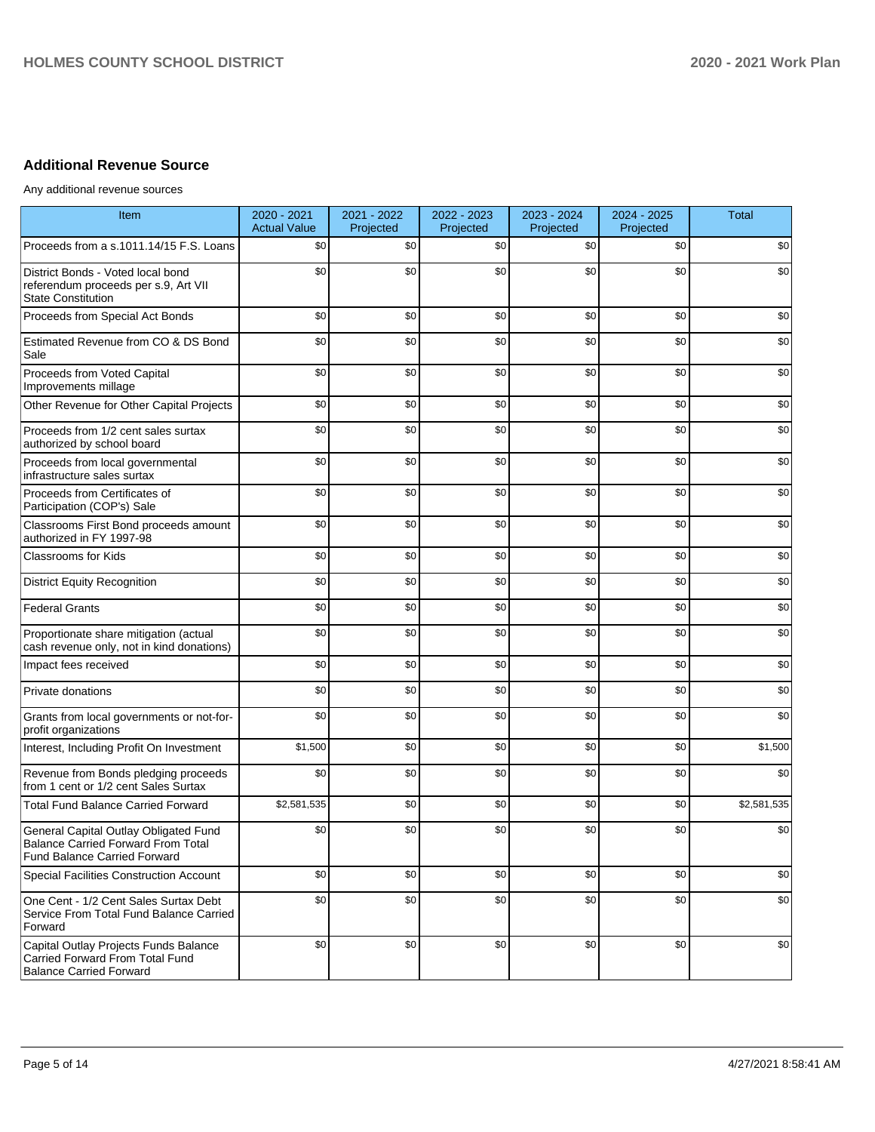### **Additional Revenue Source**

Any additional revenue sources

| Item                                                                                                                      | 2020 - 2021<br><b>Actual Value</b> | 2021 - 2022<br>Projected | 2022 - 2023<br>Projected | 2023 - 2024<br>Projected | 2024 - 2025<br>Projected | <b>Total</b> |
|---------------------------------------------------------------------------------------------------------------------------|------------------------------------|--------------------------|--------------------------|--------------------------|--------------------------|--------------|
| Proceeds from a s.1011.14/15 F.S. Loans                                                                                   | \$0                                | \$0                      | \$0                      | \$0                      | \$0                      | \$0          |
| District Bonds - Voted local bond<br>referendum proceeds per s.9, Art VII<br><b>State Constitution</b>                    | \$0                                | \$0                      | \$0                      | \$0                      | \$0                      | \$0          |
| Proceeds from Special Act Bonds                                                                                           | \$0                                | \$0                      | \$0                      | \$0                      | \$0                      | \$0          |
| Estimated Revenue from CO & DS Bond<br>Sale                                                                               | \$0                                | \$0                      | \$0                      | \$0                      | \$0                      | \$0          |
| Proceeds from Voted Capital<br>Improvements millage                                                                       | \$0                                | \$0                      | \$0                      | \$0                      | \$0                      | \$0          |
| Other Revenue for Other Capital Projects                                                                                  | \$0                                | \$0                      | \$0                      | \$0                      | \$0                      | \$0          |
| Proceeds from 1/2 cent sales surtax<br>authorized by school board                                                         | \$0                                | \$0                      | \$0                      | \$0                      | \$0                      | \$0          |
| Proceeds from local governmental<br>infrastructure sales surtax                                                           | \$0                                | \$0                      | \$0                      | \$0                      | \$0                      | \$0          |
| Proceeds from Certificates of<br>Participation (COP's) Sale                                                               | \$0                                | \$0                      | \$0                      | \$0                      | \$0                      | \$0          |
| Classrooms First Bond proceeds amount<br>authorized in FY 1997-98                                                         | \$0                                | \$0                      | \$0                      | \$0                      | \$0                      | \$0          |
| <b>Classrooms for Kids</b>                                                                                                | \$0                                | \$0                      | \$0                      | \$0                      | \$0                      | \$0          |
| <b>District Equity Recognition</b>                                                                                        | \$0                                | \$0                      | \$0                      | \$0                      | \$0                      | \$0          |
| <b>Federal Grants</b>                                                                                                     | \$0                                | \$0                      | \$0                      | \$0                      | \$0                      | \$0          |
| Proportionate share mitigation (actual<br>cash revenue only, not in kind donations)                                       | \$0                                | \$0                      | \$0                      | \$0                      | \$0                      | \$0          |
| Impact fees received                                                                                                      | \$0                                | \$0                      | \$0                      | \$0                      | \$0                      | \$0          |
| Private donations                                                                                                         | \$0                                | \$0                      | \$0                      | \$0                      | \$0                      | \$0          |
| Grants from local governments or not-for-<br>profit organizations                                                         | \$0                                | \$0                      | \$0                      | \$0                      | \$0                      | \$0          |
| Interest, Including Profit On Investment                                                                                  | \$1,500                            | \$0                      | \$0                      | \$0                      | \$0                      | \$1,500      |
| Revenue from Bonds pledging proceeds<br>from 1 cent or 1/2 cent Sales Surtax                                              | \$0                                | \$0                      | \$0                      | \$0                      | \$0                      | \$0          |
| <b>Total Fund Balance Carried Forward</b>                                                                                 | \$2,581,535                        | \$0                      | \$0                      | \$0                      | \$0                      | \$2,581,535  |
| General Capital Outlay Obligated Fund<br><b>Balance Carried Forward From Total</b><br><b>Fund Balance Carried Forward</b> | \$0                                | \$0                      | \$0                      | \$0                      | \$0                      | \$0          |
| Special Facilities Construction Account                                                                                   | \$0                                | \$0                      | \$0                      | \$0                      | \$0                      | \$0          |
| One Cent - 1/2 Cent Sales Surtax Debt<br>Service From Total Fund Balance Carried<br>Forward                               | \$0                                | \$0                      | \$0                      | \$0                      | \$0                      | \$0          |
| Capital Outlay Projects Funds Balance<br>Carried Forward From Total Fund<br><b>Balance Carried Forward</b>                | \$0                                | \$0                      | \$0                      | \$0                      | \$0                      | \$0          |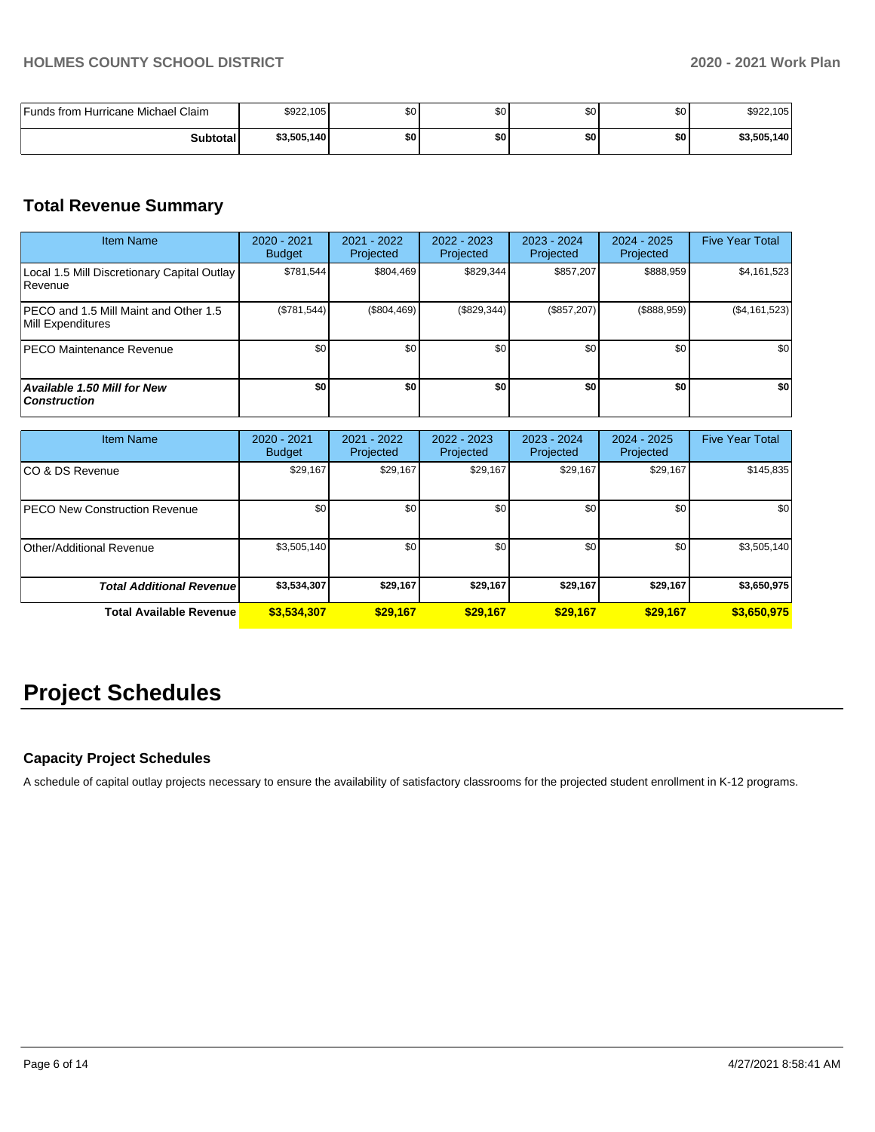| Funds from Hurricane Michael Claim | \$922,105   | \$0 | \$C | \$0 | \$0 | \$922,105   |
|------------------------------------|-------------|-----|-----|-----|-----|-------------|
| <b>Subtotal</b>                    | \$3,505,140 | \$0 | \$0 | \$0 | \$0 | \$3,505,140 |

## **Total Revenue Summary**

| <b>Item Name</b>                                           | 2020 - 2021<br><b>Budget</b> | $2021 - 2022$<br>Projected | 2022 - 2023<br>Projected | 2023 - 2024<br>Projected | 2024 - 2025<br>Projected | <b>Five Year Total</b> |
|------------------------------------------------------------|------------------------------|----------------------------|--------------------------|--------------------------|--------------------------|------------------------|
| Local 1.5 Mill Discretionary Capital Outlay<br>l Revenue   | \$781.544                    | \$804.469                  | \$829,344                | \$857.207                | \$888,959                | \$4,161,523            |
| PECO and 1.5 Mill Maint and Other 1.5<br>Mill Expenditures | (\$781,544)                  | $(\$804,469)$              | (\$829,344)              | (\$857,207)              | (\$888,959)              | ( \$4,161,523)         |
| <b>PECO Maintenance Revenue</b>                            | \$0                          | \$0 <sub>1</sub>           | \$0                      | \$0                      | \$0                      | \$0                    |
| <b>Available 1.50 Mill for New</b><br><b>Construction</b>  | \$0                          | \$0                        | \$0                      | \$0                      | \$0                      | \$0                    |

| <b>Item Name</b>                     | $2020 - 2021$<br><b>Budget</b> | $2021 - 2022$<br>Projected | 2022 - 2023<br>Projected | $2023 - 2024$<br>Projected | $2024 - 2025$<br>Projected | <b>Five Year Total</b> |
|--------------------------------------|--------------------------------|----------------------------|--------------------------|----------------------------|----------------------------|------------------------|
| ICO & DS Revenue                     | \$29,167                       | \$29,167                   | \$29,167                 | \$29,167                   | \$29,167                   | \$145,835              |
| <b>PECO New Construction Revenue</b> | \$0                            | \$0 <sub>1</sub>           | \$0                      | \$0                        | \$0                        | \$0                    |
| Other/Additional Revenue             | \$3,505,140                    | \$0 <sub>1</sub>           | \$0                      | \$0                        | \$0                        | \$3,505,140            |
| <b>Total Additional Revenue</b>      | \$3,534,307                    | \$29,167                   | \$29,167                 | \$29,167                   | \$29,167                   | \$3,650,975            |
| <b>Total Available Revenue</b>       | \$3,534,307                    | \$29,167                   | \$29.167                 | \$29.167                   | \$29,167                   | \$3,650,975            |

# **Project Schedules**

#### **Capacity Project Schedules**

A schedule of capital outlay projects necessary to ensure the availability of satisfactory classrooms for the projected student enrollment in K-12 programs.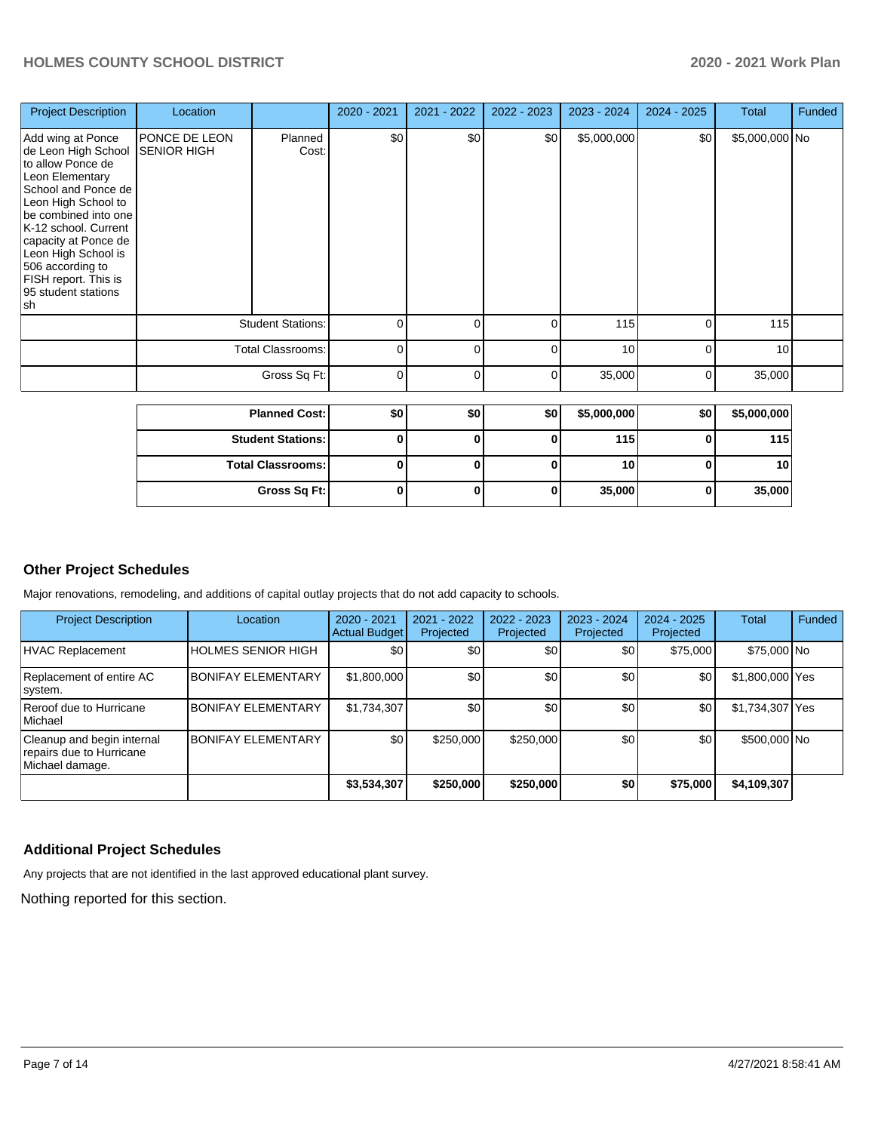| <b>Project Description</b>                                                                                                                                                                                                                                                                              | Location                                   |                          | 2020 - 2021 | 2021 - 2022 | 2022 - 2023 | 2023 - 2024     | 2024 - 2025 | Total          | Funded |
|---------------------------------------------------------------------------------------------------------------------------------------------------------------------------------------------------------------------------------------------------------------------------------------------------------|--------------------------------------------|--------------------------|-------------|-------------|-------------|-----------------|-------------|----------------|--------|
| Add wing at Ponce<br>de Leon High School<br>to allow Ponce de<br>Leon Elementary<br>School and Ponce de<br>Leon High School to<br>be combined into one<br>K-12 school. Current<br>capacity at Ponce de<br>Leon High School is<br>506 according to<br>FISH report. This is<br>95 student stations<br> sh | <b>PONCE DE LEON</b><br><b>SENIOR HIGH</b> | Planned<br>Cost:         | \$0         | \$0         | \$0         | \$5,000,000     | \$0         | \$5,000,000 No |        |
|                                                                                                                                                                                                                                                                                                         |                                            | <b>Student Stations:</b> | 0           | 0           | 0           | 115             | 0           | 115            |        |
|                                                                                                                                                                                                                                                                                                         | <b>Total Classrooms:</b><br>Gross Sq Ft:   |                          | $\Omega$    | 0           | 0           | 10 <sup>1</sup> | $\Omega$    | 10             |        |
|                                                                                                                                                                                                                                                                                                         |                                            |                          | $\Omega$    | 0           | 0           | 35,000          | 0           | 35,000         |        |
|                                                                                                                                                                                                                                                                                                         |                                            | <b>Planned Cost:</b>     | \$0         | \$0         | \$0         | \$5,000,000     | \$0         | \$5,000,000    |        |

| <b>Planned Cost: I</b>   | \$0 | \$0 | \$OI | \$5,000,0001 | \$0 | \$5,000,000 |
|--------------------------|-----|-----|------|--------------|-----|-------------|
| <b>Student Stations:</b> |     |     |      | 115          |     | 115         |
| <b>Total Classrooms:</b> |     |     |      | 10           |     | 10 I        |
| Gross Sq Ft:             |     |     |      | 35,000       |     | 35,000      |

### **Other Project Schedules**

Major renovations, remodeling, and additions of capital outlay projects that do not add capacity to schools.

| <b>Project Description</b>                                                | Location                  | 2020 - 2021<br><b>Actual Budget</b> | 2021 - 2022<br>Projected | $2022 - 2023$<br>Projected | 2023 - 2024<br>Projected | $2024 - 2025$<br>Projected | Total           | Funded |
|---------------------------------------------------------------------------|---------------------------|-------------------------------------|--------------------------|----------------------------|--------------------------|----------------------------|-----------------|--------|
| HVAC Replacement                                                          | <b>HOLMES SENIOR HIGH</b> | \$0                                 | \$0                      | \$0                        | \$0                      | \$75,000                   | \$75,000 No     |        |
| Replacement of entire AC<br>system.                                       | <b>BONIFAY ELEMENTARY</b> | \$1,800,000                         | \$0                      | \$0                        | \$0                      | \$0                        | \$1,800,000 Yes |        |
| Reroof due to Hurricane<br>Michael                                        | <b>BONIFAY ELEMENTARY</b> | \$1,734,307                         | \$0                      | \$0                        | \$0                      | \$0                        | \$1,734,307 Yes |        |
| Cleanup and begin internal<br>repairs due to Hurricane<br>Michael damage. | <b>BONIFAY ELEMENTARY</b> | \$0                                 | \$250,000                | \$250,000                  | \$0                      | \$0                        | \$500,000 No    |        |
|                                                                           |                           | \$3,534,307                         | \$250,000                | \$250,000                  | \$0                      | \$75,000                   | \$4,109,307     |        |

#### **Additional Project Schedules**

Any projects that are not identified in the last approved educational plant survey.

Nothing reported for this section.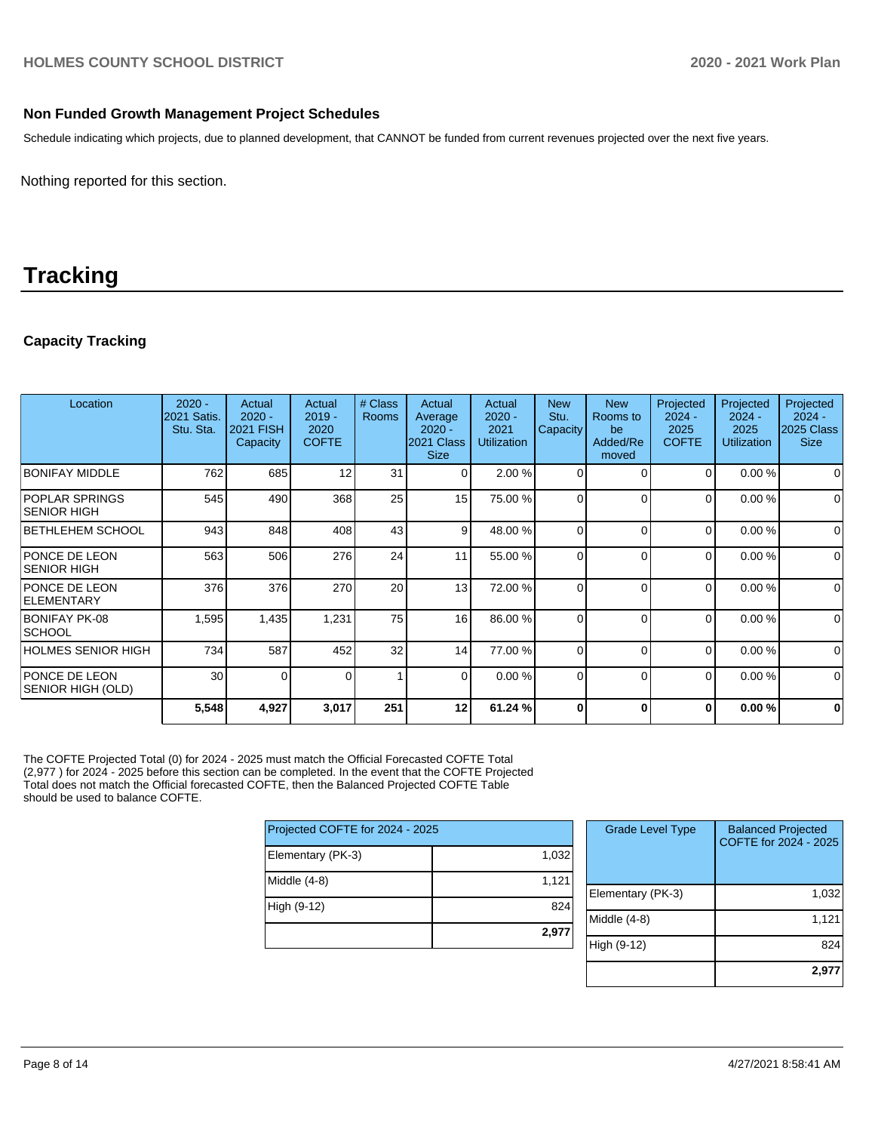#### **Non Funded Growth Management Project Schedules**

Schedule indicating which projects, due to planned development, that CANNOT be funded from current revenues projected over the next five years.

Nothing reported for this section.

# **Tracking**

### **Capacity Tracking**

| Location                                    | $2020 -$<br>2021 Satis.<br>Stu. Sta. | Actual<br>$2020 -$<br>2021 FISH<br>Capacity | Actual<br>$2019 -$<br>2020<br><b>COFTE</b> | # Class<br><b>Rooms</b> | Actual<br>Average<br>$2020 -$<br>2021 Class<br><b>Size</b> | Actual<br>$2020 -$<br>2021<br><b>Utilization</b> | <b>New</b><br>Stu.<br>Capacity | <b>New</b><br>Rooms to<br>be<br>Added/Re<br>moved | Projected<br>$2024 -$<br>2025<br><b>COFTE</b> | Projected<br>$2024 -$<br>2025<br><b>Utilization</b> | Projected<br>$2024 -$<br>2025 Class<br><b>Size</b> |
|---------------------------------------------|--------------------------------------|---------------------------------------------|--------------------------------------------|-------------------------|------------------------------------------------------------|--------------------------------------------------|--------------------------------|---------------------------------------------------|-----------------------------------------------|-----------------------------------------------------|----------------------------------------------------|
| <b>BONIFAY MIDDLE</b>                       | 762                                  | 685                                         | 12                                         | 31                      | $\Omega$                                                   | 2.00%                                            | $\Omega$                       | $\Omega$                                          | 0                                             | 0.00%                                               | 0                                                  |
| <b>POPLAR SPRINGS</b><br><b>SENIOR HIGH</b> | 545                                  | 490                                         | 368                                        | 25                      | 15                                                         | 75.00 %                                          | $\Omega$                       | $\Omega$                                          | $\Omega$                                      | 0.00%                                               | $\mathbf 0$                                        |
| <b>BETHLEHEM SCHOOL</b>                     | 943                                  | 848                                         | 408                                        | 43                      | 9                                                          | 48.00 %                                          | $\Omega$                       | $\Omega$                                          | $\Omega$                                      | 0.00%                                               | $\mathbf 0$                                        |
| <b>PONCE DE LEON</b><br><b>SENIOR HIGH</b>  | 563                                  | 506                                         | 276                                        | 24                      | 11                                                         | 55.00 %                                          | $\Omega$                       | $\Omega$                                          | 0                                             | 0.00%                                               | $\mathbf 0$                                        |
| <b>PONCE DE LEON</b><br><b>ELEMENTARY</b>   | 376                                  | 376                                         | 270                                        | 20                      | 13                                                         | 72.00 %                                          | $\Omega$                       | $\Omega$                                          | $\Omega$                                      | 0.00%                                               | $\mathbf 0$                                        |
| BONIFAY PK-08<br><b>SCHOOL</b>              | 1,595                                | 1,435                                       | 1,231                                      | 75                      | 16                                                         | 86.00 %                                          | $\Omega$                       | $\Omega$                                          | 0                                             | 0.00%                                               | $\mathbf 0$                                        |
| <b>HOLMES SENIOR HIGH</b>                   | 734                                  | 587                                         | 452                                        | 32                      | 14                                                         | 77.00 %                                          | $\Omega$                       | $\Omega$                                          | $\Omega$                                      | 0.00%                                               | $\mathbf 0$                                        |
| <b>PONCE DE LEON</b><br>SENIOR HIGH (OLD)   | 30                                   | $\Omega$                                    | 0                                          |                         | $\overline{0}$                                             | 0.00%                                            | 0                              | $\Omega$                                          | 0                                             | 0.00%                                               | $\mathbf 0$                                        |
|                                             | 5,548                                | 4,927                                       | 3,017                                      | 251                     | 12                                                         | 61.24 %                                          | $\bf{0}$                       | 0                                                 | $\bf{0}$                                      | 0.00%                                               | $\mathbf{0}$                                       |

The COFTE Projected Total (0) for 2024 - 2025 must match the Official Forecasted COFTE Total (2,977 ) for 2024 - 2025 before this section can be completed. In the event that the COFTE Projected Total does not match the Official forecasted COFTE, then the Balanced Projected COFTE Table should be used to balance COFTE.

| Projected COFTE for 2024 - 2025 |       |  |  |  |  |
|---------------------------------|-------|--|--|--|--|
| Elementary (PK-3)               | 1,032 |  |  |  |  |
| Middle (4-8)                    | 1,121 |  |  |  |  |
| High (9-12)                     | 824   |  |  |  |  |
|                                 | 2,977 |  |  |  |  |

| <b>Grade Level Type</b> | <b>Balanced Projected</b><br>COFTE for 2024 - 2025 |
|-------------------------|----------------------------------------------------|
| Elementary (PK-3)       | 1,032                                              |
| Middle $(4-8)$          | 1,121                                              |
| High (9-12)             | 824                                                |
|                         | 2,977                                              |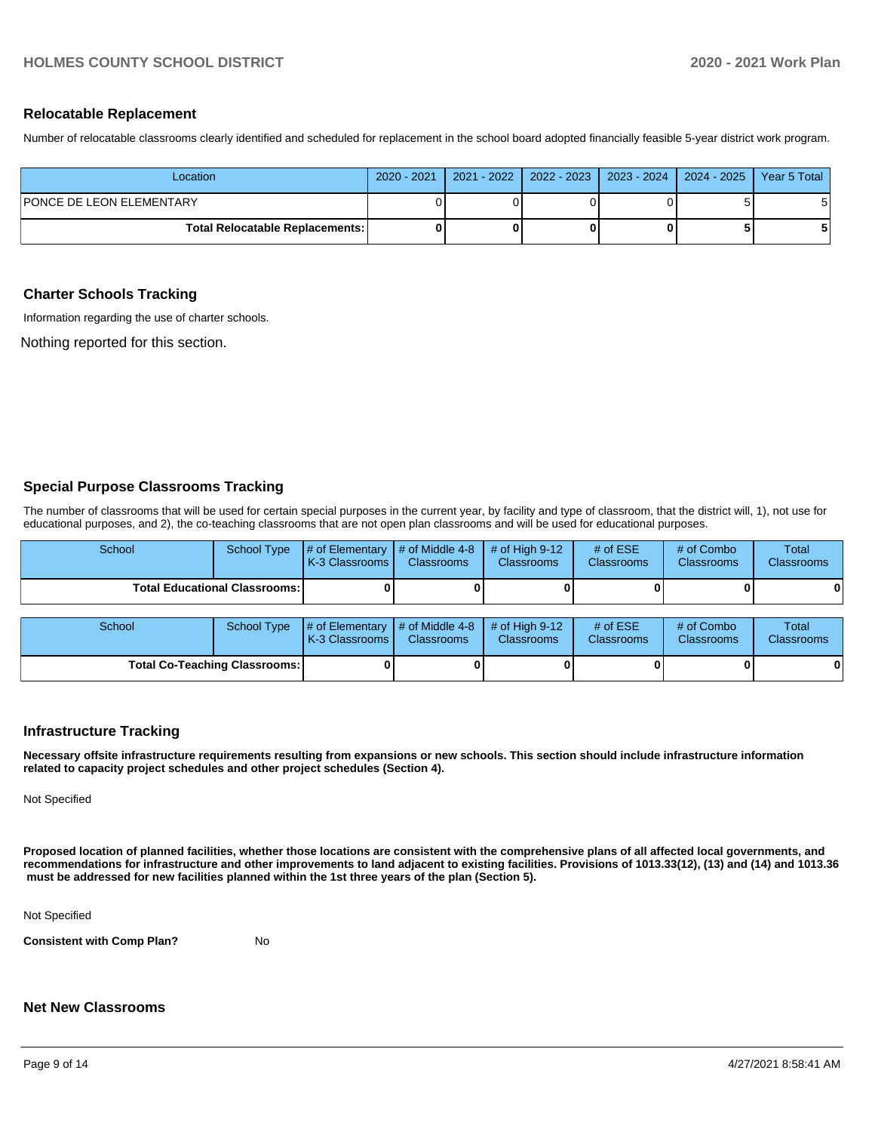#### **Relocatable Replacement**

Number of relocatable classrooms clearly identified and scheduled for replacement in the school board adopted financially feasible 5-year district work program.

| Location                               |  |  | 2020 - 2021   2021 - 2022   2022 - 2023   2023 - 2024   2024 - 2025 | Year 5 Total |
|----------------------------------------|--|--|---------------------------------------------------------------------|--------------|
| PONCE DE LEON ELEMENTARY               |  |  |                                                                     |              |
| <b>Total Relocatable Replacements:</b> |  |  |                                                                     |              |

#### **Charter Schools Tracking**

Information regarding the use of charter schools.

Nothing reported for this section.

#### **Special Purpose Classrooms Tracking**

The number of classrooms that will be used for certain special purposes in the current year, by facility and type of classroom, that the district will, 1), not use for educational purposes, and 2), the co-teaching classrooms that are not open plan classrooms and will be used for educational purposes.

| School                                 | <b>School Type</b> | # of Elementary<br>K-3 Classrooms | # of Middle 4-8<br><b>Classrooms</b> | # of High $9-12$<br><b>Classrooms</b> | # of $ESE$<br>Classrooms | # of Combo<br><b>Classrooms</b> | Total<br>Classrooms |
|----------------------------------------|--------------------|-----------------------------------|--------------------------------------|---------------------------------------|--------------------------|---------------------------------|---------------------|
| <b>Total Educational Classrooms: I</b> |                    |                                   |                                      |                                       |                          |                                 | 0                   |
|                                        |                    |                                   |                                      |                                       |                          |                                 |                     |
| School                                 | <b>School Type</b> | # of Elementary                   | # of Middle 4-8                      | # of High $9-12$                      | # of $ESE$               | # of Combo                      | <b>Total</b>        |
|                                        |                    | K-3 Classrooms                    | <b>Classrooms</b>                    | <b>Classrooms</b>                     | Classrooms               | <b>Classrooms</b>               | <b>Classrooms</b>   |
| <b>Total Co-Teaching Classrooms:</b>   |                    |                                   |                                      | O I                                   |                          |                                 | 0                   |

#### **Infrastructure Tracking**

**Necessary offsite infrastructure requirements resulting from expansions or new schools. This section should include infrastructure information related to capacity project schedules and other project schedules (Section 4).** 

Not Specified

**Proposed location of planned facilities, whether those locations are consistent with the comprehensive plans of all affected local governments, and recommendations for infrastructure and other improvements to land adjacent to existing facilities. Provisions of 1013.33(12), (13) and (14) and 1013.36 must be addressed for new facilities planned within the 1st three years of the plan (Section 5).** 

Not Specified

**Consistent with Comp Plan?** No

#### **Net New Classrooms**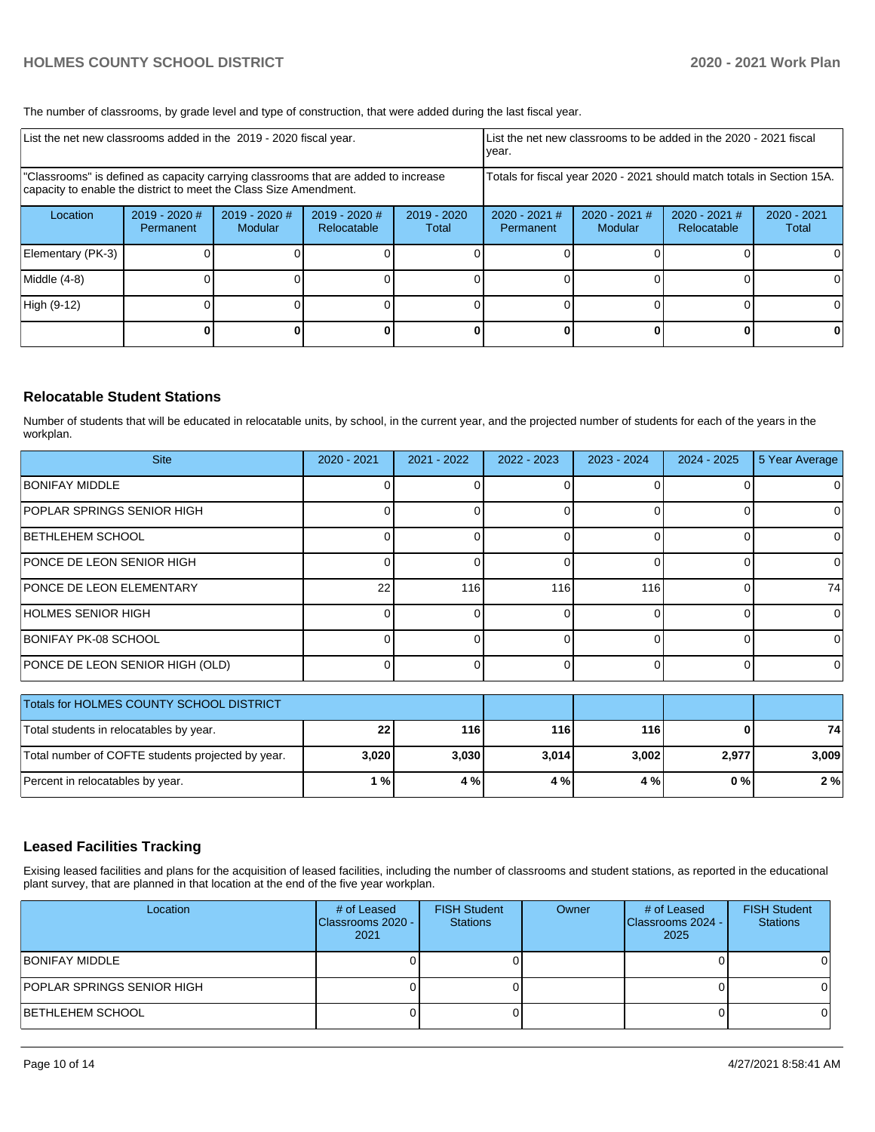The number of classrooms, by grade level and type of construction, that were added during the last fiscal year.

| List the net new classrooms added in the 2019 - 2020 fiscal year.                                                                                       |                              |                                 |                              |                                                                        | List the net new classrooms to be added in the 2020 - 2021 fiscal<br>year. |                            |                                |                        |
|---------------------------------------------------------------------------------------------------------------------------------------------------------|------------------------------|---------------------------------|------------------------------|------------------------------------------------------------------------|----------------------------------------------------------------------------|----------------------------|--------------------------------|------------------------|
| "Classrooms" is defined as capacity carrying classrooms that are added to increase<br>capacity to enable the district to meet the Class Size Amendment. |                              |                                 |                              | Totals for fiscal year 2020 - 2021 should match totals in Section 15A. |                                                                            |                            |                                |                        |
| Location                                                                                                                                                | $2019 - 2020$ #<br>Permanent | 2019 - 2020 #<br><b>Modular</b> | 2019 - 2020 #<br>Relocatable | $2019 - 2020$<br>Total                                                 | 2020 - 2021 #<br>Permanent                                                 | $2020 - 2021$ #<br>Modular | $2020 - 2021$ #<br>Relocatable | $2020 - 2021$<br>Total |
| Elementary (PK-3)                                                                                                                                       |                              |                                 |                              |                                                                        |                                                                            |                            |                                | 0                      |
| Middle (4-8)                                                                                                                                            |                              |                                 |                              |                                                                        |                                                                            |                            |                                | 0                      |
| High (9-12)                                                                                                                                             |                              |                                 |                              |                                                                        |                                                                            |                            |                                | $\Omega$               |
|                                                                                                                                                         |                              |                                 |                              |                                                                        |                                                                            |                            |                                | 0                      |

#### **Relocatable Student Stations**

Number of students that will be educated in relocatable units, by school, in the current year, and the projected number of students for each of the years in the workplan.

| <b>Site</b>                       | $2020 - 2021$ | $2021 - 2022$ | 2022 - 2023 | 2023 - 2024 | $2024 - 2025$ | 5 Year Average |
|-----------------------------------|---------------|---------------|-------------|-------------|---------------|----------------|
| <b>BONIFAY MIDDLE</b>             |               |               |             |             |               |                |
| <b>POPLAR SPRINGS SENIOR HIGH</b> |               |               |             |             |               |                |
| <b>BETHLEHEM SCHOOL</b>           |               |               |             |             |               |                |
| PONCE DE LEON SENIOR HIGH         |               |               |             |             |               |                |
| <b>PONCE DE LEON ELEMENTARY</b>   | 22            | 116           | 116         | 116         |               | 74             |
| HOLMES SENIOR HIGH                |               |               |             |             |               |                |
| BONIFAY PK-08 SCHOOL              |               |               |             |             |               |                |
| PONCE DE LEON SENIOR HIGH (OLD)   |               |               |             |             |               |                |

| Totals for HOLMES COUNTY SCHOOL DISTRICT          |          |       |       |       |       |       |
|---------------------------------------------------|----------|-------|-------|-------|-------|-------|
| Total students in relocatables by year.           | $22^{1}$ | 116   | 116   | 116   |       | 74    |
| Total number of COFTE students projected by year. | 3,020    | 3.030 | 3,014 | 3,002 | 2,977 | 3,009 |
| Percent in relocatables by year.                  | 1 % l    | 4 %   | 4 %   | 4 % I | 0 % I | 2%    |

#### **Leased Facilities Tracking**

Exising leased facilities and plans for the acquisition of leased facilities, including the number of classrooms and student stations, as reported in the educational plant survey, that are planned in that location at the end of the five year workplan.

| Location                   | # of Leased<br>Classrooms 2020 -<br>2021 | <b>FISH Student</b><br><b>Stations</b> | Owner | # of Leased<br>Classrooms 2024 -<br>2025 | <b>FISH Student</b><br><b>Stations</b> |
|----------------------------|------------------------------------------|----------------------------------------|-------|------------------------------------------|----------------------------------------|
| BONIFAY MIDDLE             |                                          |                                        |       |                                          |                                        |
| POPLAR SPRINGS SENIOR HIGH |                                          |                                        |       |                                          |                                        |
| BETHLEHEM SCHOOL           |                                          |                                        |       |                                          |                                        |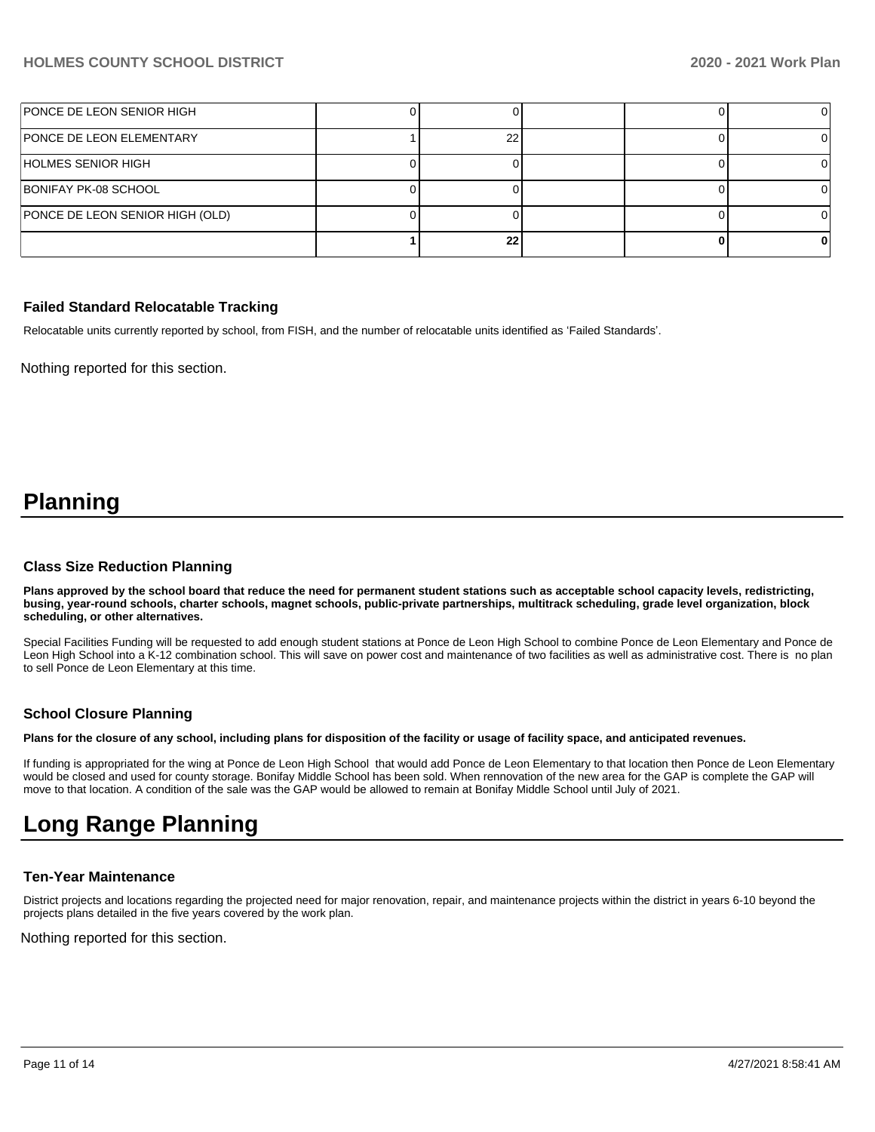| PONCE DE LEON SENIOR HIGH       |    |  |  |
|---------------------------------|----|--|--|
| <b>PONCE DE LEON ELEMENTARY</b> | າເ |  |  |
| HOLMES SENIOR HIGH              |    |  |  |
| BONIFAY PK-08 SCHOOL            |    |  |  |
| PONCE DE LEON SENIOR HIGH (OLD) |    |  |  |
|                                 | 22 |  |  |

#### **Failed Standard Relocatable Tracking**

Relocatable units currently reported by school, from FISH, and the number of relocatable units identified as 'Failed Standards'.

Nothing reported for this section.

## **Planning**

#### **Class Size Reduction Planning**

**Plans approved by the school board that reduce the need for permanent student stations such as acceptable school capacity levels, redistricting, busing, year-round schools, charter schools, magnet schools, public-private partnerships, multitrack scheduling, grade level organization, block scheduling, or other alternatives.**

Special Facilities Funding will be requested to add enough student stations at Ponce de Leon High School to combine Ponce de Leon Elementary and Ponce de Leon High School into a K-12 combination school. This will save on power cost and maintenance of two facilities as well as administrative cost. There is no plan to sell Ponce de Leon Elementary at this time.

#### **School Closure Planning**

**Plans for the closure of any school, including plans for disposition of the facility or usage of facility space, and anticipated revenues.** 

If funding is appropriated for the wing at Ponce de Leon High School that would add Ponce de Leon Elementary to that location then Ponce de Leon Elementary would be closed and used for county storage. Bonifay Middle School has been sold. When rennovation of the new area for the GAP is complete the GAP will move to that location. A condition of the sale was the GAP would be allowed to remain at Bonifay Middle School until July of 2021.

## **Long Range Planning**

#### **Ten-Year Maintenance**

District projects and locations regarding the projected need for major renovation, repair, and maintenance projects within the district in years 6-10 beyond the projects plans detailed in the five years covered by the work plan.

Nothing reported for this section.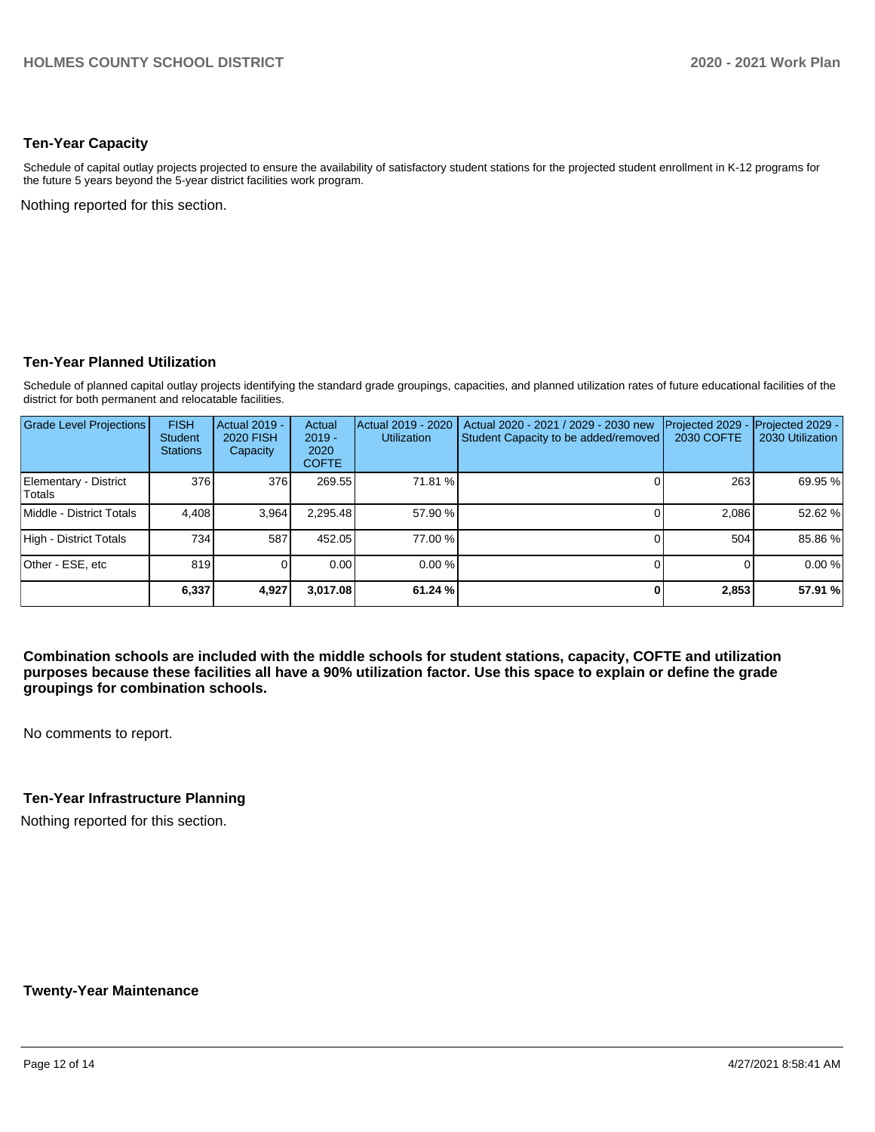#### **Ten-Year Capacity**

Schedule of capital outlay projects projected to ensure the availability of satisfactory student stations for the projected student enrollment in K-12 programs for the future 5 years beyond the 5-year district facilities work program.

Nothing reported for this section.

#### **Ten-Year Planned Utilization**

Schedule of planned capital outlay projects identifying the standard grade groupings, capacities, and planned utilization rates of future educational facilities of the district for both permanent and relocatable facilities.

| <b>Grade Level Projections</b>  | <b>FISH</b><br><b>Student</b><br><b>Stations</b> | Actual 2019 -<br><b>2020 FISH</b><br>Capacity | Actual<br>$2019 -$<br>2020<br><b>COFTE</b> | Actual 2019 - 2020<br><b>Utilization</b> | Actual 2020 - 2021 / 2029 - 2030 new<br>Student Capacity to be added/removed | Projected 2029<br>2030 COFTE | Projected 2029 -<br>2030 Utilization |
|---------------------------------|--------------------------------------------------|-----------------------------------------------|--------------------------------------------|------------------------------------------|------------------------------------------------------------------------------|------------------------------|--------------------------------------|
| Elementary - District<br>Totals | 376                                              | 376                                           | 269.55                                     | 71.81 %                                  |                                                                              | 263                          | 69.95 %                              |
| Middle - District Totals        | 4.408                                            | 3,964                                         | 2.295.48                                   | 57.90 %                                  |                                                                              | 2.086                        | 52.62 %                              |
| High - District Totals          | 734                                              | 587                                           | 452.05                                     | 77.00 %                                  |                                                                              | 504                          | 85.86%                               |
| Other - ESE. etc                | 819                                              |                                               | 0.00                                       | $0.00\%$                                 |                                                                              |                              | 0.00%                                |
|                                 | 6,337                                            | 4,927                                         | 3.017.08                                   | 61.24 %                                  |                                                                              | 2,853                        | 57.91 %                              |

**Combination schools are included with the middle schools for student stations, capacity, COFTE and utilization purposes because these facilities all have a 90% utilization factor. Use this space to explain or define the grade groupings for combination schools.** 

No comments to report.

#### **Ten-Year Infrastructure Planning**

Nothing reported for this section.

#### **Twenty-Year Maintenance**